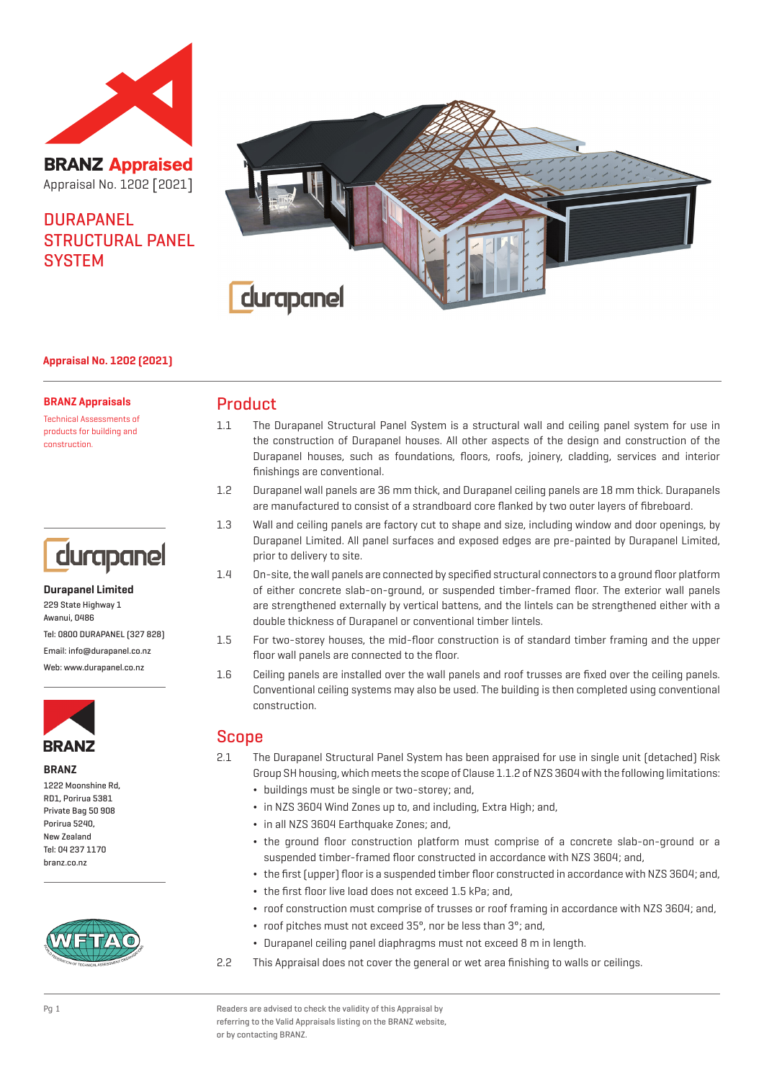

**BRANZ Appraised** Appraisal No. 1202 [2021]

# **DURAPANEL** STRUCTURAL PANEL **SYSTEM**



## **Appraisal No. 1202 (2021)**

#### **BRANZ Appraisals**

Technical Assessments of products for building and construction.



## **Durapanel Limited** 229 State Highway 1 Awanui, 0486 Tel: 0800 DURAPANEL (327 828) Email: info@durapanel.co.nz Web: www.durapanel.co.nz



#### **BRANZ**

1222 Moonshine Rd, RD1, Porirua 5381 Private Bag 50 908 Porirua 5240, New Zealand Tel: 04 237 1170 branz.co.nz



## Product

- 1.1 The Durapanel Structural Panel System is a structural wall and ceiling panel system for use in the construction of Durapanel houses. All other aspects of the design and construction of the Durapanel houses, such as foundations, floors, roofs, joinery, cladding, services and interior finishings are conventional.
- 1.2 Durapanel wall panels are 36 mm thick, and Durapanel ceiling panels are 18 mm thick. Durapanels are manufactured to consist of a strandboard core flanked by two outer layers of fibreboard.
- 1.3 Wall and ceiling panels are factory cut to shape and size, including window and door openings, by Durapanel Limited. All panel surfaces and exposed edges are pre-painted by Durapanel Limited, prior to delivery to site.
- 1.4 On-site, the wall panels are connected by specified structural connectors to a ground floor platform of either concrete slab-on-ground, or suspended timber-framed floor. The exterior wall panels are strengthened externally by vertical battens, and the lintels can be strengthened either with a double thickness of Durapanel or conventional timber lintels.
- 1.5 For two-storey houses, the mid-floor construction is of standard timber framing and the upper floor wall panels are connected to the floor.
- 1.6 Ceiling panels are installed over the wall panels and roof trusses are fixed over the ceiling panels. Conventional ceiling systems may also be used. The building is then completed using conventional construction.

## Scope

- 2.1 The Durapanel Structural Panel System has been appraised for use in single unit (detached) Risk Group SH housing, which meets the scope of Clause 1.1.2 of NZS 3604 with the following limitations:
	- ¬ buildings must be single or two-storey; and,
	- ¬ in NZS 3604 Wind Zones up to, and including, Extra High; and,
	- ¬ in all NZS 3604 Earthquake Zones; and,
	- ¬ the ground floor construction platform must comprise of a concrete slab-on-ground or a suspended timber-framed floor constructed in accordance with NZS 3604; and,
	- ¬ the first (upper) floor is a suspended timber floor constructed in accordance with NZS 3604; and,
	- ¬ the first floor live load does not exceed 1.5 kPa; and,
	- ¬ roof construction must comprise of trusses or roof framing in accordance with NZS 3604; and,
	- $\cdot$  roof pitches must not exceed 35°, nor be less than 3°; and,
	- ¬ Durapanel ceiling panel diaphragms must not exceed 8 m in length.
- 2.2 This Appraisal does not cover the general or wet area finishing to walls or ceilings.

Pg 1 Readers are advised to check the validity of this Appraisal by referring to the Valid Appraisals listing on the BRANZ website, or by contacting BRANZ.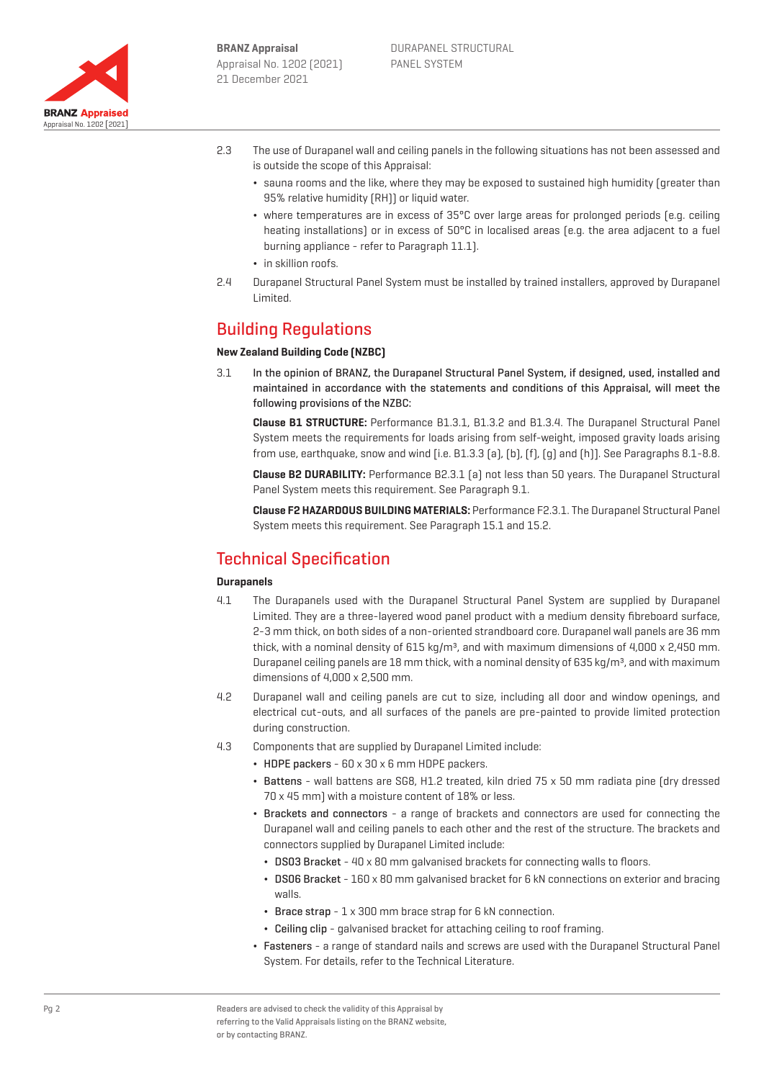

- 2.3 The use of Durapanel wall and ceiling panels in the following situations has not been assessed and is outside the scope of this Appraisal:
	- ¬ sauna rooms and the like, where they may be exposed to sustained high humidity (greater than 95% relative humidity (RH)) or liquid water.
	- where temperatures are in excess of 35°C over large areas for prolonged periods [e.g. ceiling heating installations) or in excess of 50°C in localised areas (e.g. the area adjacent to a fuel burning appliance - refer to Paragraph 11.1).
	- in skillion roofs.
- 2.4 Durapanel Structural Panel System must be installed by trained installers, approved by Durapanel Limited.

# Building Regulations

## **New Zealand Building Code (NZBC)**

3.1 In the opinion of BRANZ, the Durapanel Structural Panel System, if designed, used, installed and maintained in accordance with the statements and conditions of this Appraisal, will meet the following provisions of the NZBC:

**Clause B1 STRUCTURE:** Performance B1.3.1, B1.3.2 and B1.3.4. The Durapanel Structural Panel System meets the requirements for loads arising from self-weight, imposed gravity loads arising from use, earthquake, snow and wind [i.e. B1.3.3 (a), (b), (f), (g) and (h)]. See Paragraphs 8.1-8.8.

**Clause B2 DURABILITY:** Performance B2.3.1 (a) not less than 50 years. The Durapanel Structural Panel System meets this requirement. See Paragraph 9.1.

**Clause F2 HAZARDOUS BUILDING MATERIALS:** Performance F2.3.1. The Durapanel Structural Panel System meets this requirement. See Paragraph 15.1 and 15.2.

## Technical Specification

## **Durapanels**

- 4.1 The Durapanels used with the Durapanel Structural Panel System are supplied by Durapanel Limited. They are a three-layered wood panel product with a medium density fibreboard surface, 2-3 mm thick, on both sides of a non-oriented strandboard core. Durapanel wall panels are 36 mm thick, with a nominal density of 615 kg/m<sup>3</sup>, and with maximum dimensions of 4,000 x 2,450 mm. Durapanel ceiling panels are 18 mm thick, with a nominal density of 635 kg/m<sup>3</sup>, and with maximum dimensions of 4,000 x 2,500 mm.
- 4.2 Durapanel wall and ceiling panels are cut to size, including all door and window openings, and electrical cut-outs, and all surfaces of the panels are pre-painted to provide limited protection during construction.
- 4.3 Components that are supplied by Durapanel Limited include:
	- $\cdot$  HDPE packers 60 x 30 x 6 mm HDPE packers.
	- ¬ Battens wall battens are SG8, H1.2 treated, kiln dried 75 x 50 mm radiata pine (dry dressed 70 x 45 mm) with a moisture content of 18% or less.
	- ¬ Brackets and connectors a range of brackets and connectors are used for connecting the Durapanel wall and ceiling panels to each other and the rest of the structure. The brackets and connectors supplied by Durapanel Limited include:
		- ¬ DS03 Bracket 40 x 80 mm galvanised brackets for connecting walls to floors.
		- ¬ DS06 Bracket 160 x 80 mm galvanised bracket for 6 kN connections on exterior and bracing walls.
		- $\cdot$  Brace strap  $1 \times 300$  mm brace strap for 6 kN connection.
		- ¬ Ceiling clip galvanised bracket for attaching ceiling to roof framing.
	- ¬ Fasteners a range of standard nails and screws are used with the Durapanel Structural Panel System. For details, refer to the Technical Literature.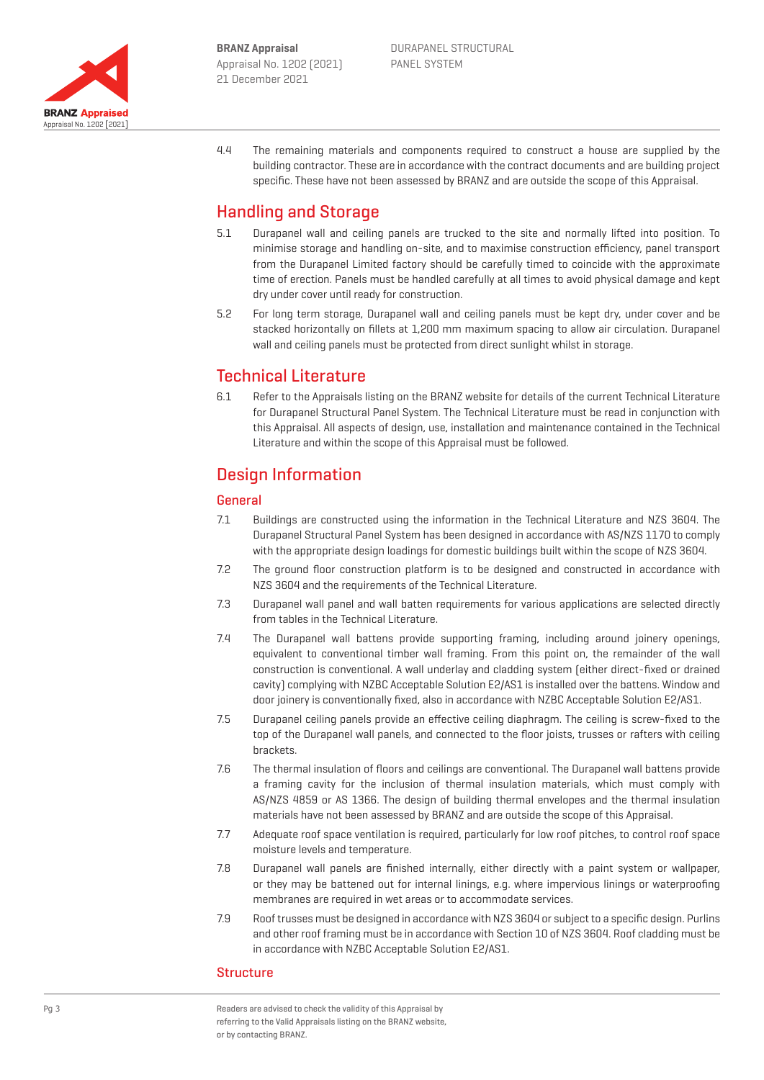

4.4 The remaining materials and components required to construct a house are supplied by the building contractor. These are in accordance with the contract documents and are building project specific. These have not been assessed by BRANZ and are outside the scope of this Appraisal.

# Handling and Storage

- 5.1 Durapanel wall and ceiling panels are trucked to the site and normally lifted into position. To minimise storage and handling on-site, and to maximise construction efficiency, panel transport from the Durapanel Limited factory should be carefully timed to coincide with the approximate time of erection. Panels must be handled carefully at all times to avoid physical damage and kept dry under cover until ready for construction.
- 5.2 For long term storage, Durapanel wall and ceiling panels must be kept dry, under cover and be stacked horizontally on fillets at 1,200 mm maximum spacing to allow air circulation. Durapanel wall and ceiling panels must be protected from direct sunlight whilst in storage.

## Technical Literature

6.1 Refer to the Appraisals listing on the BRANZ website for details of the current Technical Literature for Durapanel Structural Panel System. The Technical Literature must be read in conjunction with this Appraisal. All aspects of design, use, installation and maintenance contained in the Technical Literature and within the scope of this Appraisal must be followed.

# Design Information

## **General**

- 7.1 Buildings are constructed using the information in the Technical Literature and NZS 3604. The Durapanel Structural Panel System has been designed in accordance with AS/NZS 1170 to comply with the appropriate design loadings for domestic buildings built within the scope of NZS 3604.
- 7.2 The ground floor construction platform is to be designed and constructed in accordance with NZS 3604 and the requirements of the Technical Literature.
- 7.3 Durapanel wall panel and wall batten requirements for various applications are selected directly from tables in the Technical Literature.
- 7.4 The Durapanel wall battens provide supporting framing, including around joinery openings, equivalent to conventional timber wall framing. From this point on, the remainder of the wall construction is conventional. A wall underlay and cladding system (either direct-fixed or drained cavity) complying with NZBC Acceptable Solution E2/AS1 is installed over the battens. Window and door joinery is conventionally fixed, also in accordance with NZBC Acceptable Solution E2/AS1.
- 7.5 Durapanel ceiling panels provide an effective ceiling diaphragm. The ceiling is screw-fixed to the top of the Durapanel wall panels, and connected to the floor joists, trusses or rafters with ceiling brackets.
- 7.6 The thermal insulation of floors and ceilings are conventional. The Durapanel wall battens provide a framing cavity for the inclusion of thermal insulation materials, which must comply with AS/NZS 4859 or AS 1366. The design of building thermal envelopes and the thermal insulation materials have not been assessed by BRANZ and are outside the scope of this Appraisal.
- 7.7 Adequate roof space ventilation is required, particularly for low roof pitches, to control roof space moisture levels and temperature.
- 7.8 Durapanel wall panels are finished internally, either directly with a paint system or wallpaper, or they may be battened out for internal linings, e.g. where impervious linings or waterproofing membranes are required in wet areas or to accommodate services.
- 7.9 Roof trusses must be designed in accordance with NZS 3604 or subject to a specific design. Purlins and other roof framing must be in accordance with Section 10 of NZS 3604. Roof cladding must be in accordance with NZBC Acceptable Solution E2/AS1.

## **Structure**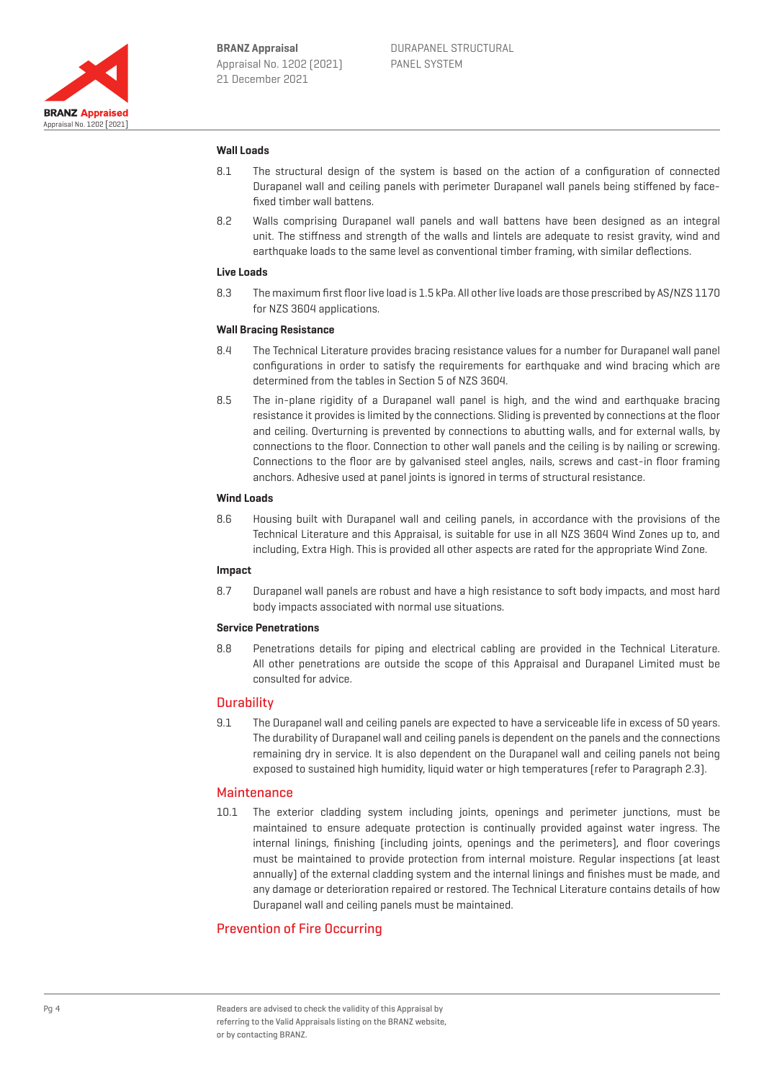

### **Wall Loads**

- 8.1 The structural design of the system is based on the action of a configuration of connected Durapanel wall and ceiling panels with perimeter Durapanel wall panels being stiffened by facefixed timber wall battens.
- 8.2 Walls comprising Durapanel wall panels and wall battens have been designed as an integral unit. The stiffness and strength of the walls and lintels are adequate to resist gravity, wind and earthquake loads to the same level as conventional timber framing, with similar deflections.

#### **Live Loads**

8.3 The maximum first floor live load is 1.5 kPa. All other live loads are those prescribed by AS/NZS 1170 for NZS 3604 applications.

#### **Wall Bracing Resistance**

- 8.4 The Technical Literature provides bracing resistance values for a number for Durapanel wall panel configurations in order to satisfy the requirements for earthquake and wind bracing which are determined from the tables in Section 5 of NZS 3604.
- 8.5 The in-plane rigidity of a Durapanel wall panel is high, and the wind and earthquake bracing resistance it provides is limited by the connections. Sliding is prevented by connections at the floor and ceiling. Overturning is prevented by connections to abutting walls, and for external walls, by connections to the floor. Connection to other wall panels and the ceiling is by nailing or screwing. Connections to the floor are by galvanised steel angles, nails, screws and cast-in floor framing anchors. Adhesive used at panel joints is ignored in terms of structural resistance.

## **Wind Loads**

8.6 Housing built with Durapanel wall and ceiling panels, in accordance with the provisions of the Technical Literature and this Appraisal, is suitable for use in all NZS 3604 Wind Zones up to, and including, Extra High. This is provided all other aspects are rated for the appropriate Wind Zone.

#### **Impact**

8.7 Durapanel wall panels are robust and have a high resistance to soft body impacts, and most hard body impacts associated with normal use situations.

#### **Service Penetrations**

8.8 Penetrations details for piping and electrical cabling are provided in the Technical Literature. All other penetrations are outside the scope of this Appraisal and Durapanel Limited must be consulted for advice.

#### **Durability**

9.1 The Durapanel wall and ceiling panels are expected to have a serviceable life in excess of 50 years. The durability of Durapanel wall and ceiling panels is dependent on the panels and the connections remaining dry in service. It is also dependent on the Durapanel wall and ceiling panels not being exposed to sustained high humidity, liquid water or high temperatures (refer to Paragraph 2.3).

## **Maintenance**

10.1 The exterior cladding system including joints, openings and perimeter junctions, must be maintained to ensure adequate protection is continually provided against water ingress. The internal linings, finishing (including joints, openings and the perimeters), and floor coverings must be maintained to provide protection from internal moisture. Regular inspections (at least annually) of the external cladding system and the internal linings and finishes must be made, and any damage or deterioration repaired or restored. The Technical Literature contains details of how Durapanel wall and ceiling panels must be maintained.

## Prevention of Fire Occurring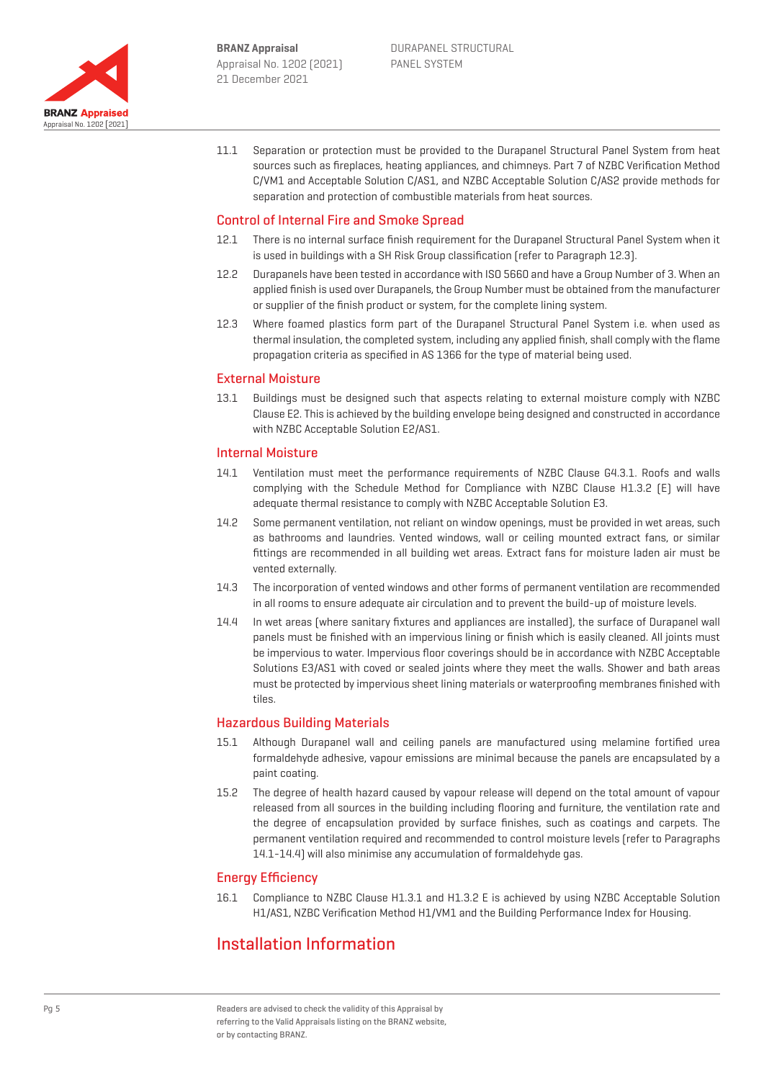

11.1 Separation or protection must be provided to the Durapanel Structural Panel System from heat sources such as fireplaces, heating appliances, and chimneys. Part 7 of NZBC Verification Method C/VM1 and Acceptable Solution C/AS1, and NZBC Acceptable Solution C/AS2 provide methods for separation and protection of combustible materials from heat sources.

## Control of Internal Fire and Smoke Spread

- 12.1 There is no internal surface finish requirement for the Durapanel Structural Panel System when it is used in buildings with a SH Risk Group classification (refer to Paragraph 12.3).
- 12.2 Durapanels have been tested in accordance with ISO 5660 and have a Group Number of 3. When an applied finish is used over Durapanels, the Group Number must be obtained from the manufacturer or supplier of the finish product or system, for the complete lining system.
- 12.3 Where foamed plastics form part of the Durapanel Structural Panel System i.e. when used as thermal insulation, the completed system, including any applied finish, shall comply with the flame propagation criteria as specified in AS 1366 for the type of material being used.

### External Moisture

13.1 Buildings must be designed such that aspects relating to external moisture comply with NZBC Clause E2. This is achieved by the building envelope being designed and constructed in accordance with NZBC Acceptable Solution E2/AS1.

#### Internal Moisture

- 14.1 Ventilation must meet the performance requirements of NZBC Clause G4.3.1. Roofs and walls complying with the Schedule Method for Compliance with NZBC Clause H1.3.2 (E) will have adequate thermal resistance to comply with NZBC Acceptable Solution E3.
- 14.2 Some permanent ventilation, not reliant on window openings, must be provided in wet areas, such as bathrooms and laundries. Vented windows, wall or ceiling mounted extract fans, or similar fittings are recommended in all building wet areas. Extract fans for moisture laden air must be vented externally.
- 14.3 The incorporation of vented windows and other forms of permanent ventilation are recommended in all rooms to ensure adequate air circulation and to prevent the build-up of moisture levels.
- 14.4 In wet areas (where sanitary fixtures and appliances are installed), the surface of Durapanel wall panels must be finished with an impervious lining or finish which is easily cleaned. All joints must be impervious to water. Impervious floor coverings should be in accordance with NZBC Acceptable Solutions E3/AS1 with coved or sealed joints where they meet the walls. Shower and bath areas must be protected by impervious sheet lining materials or waterproofing membranes finished with tiles.

## Hazardous Building Materials

- 15.1 Although Durapanel wall and ceiling panels are manufactured using melamine fortified urea formaldehyde adhesive, vapour emissions are minimal because the panels are encapsulated by a paint coating.
- 15.2 The degree of health hazard caused by vapour release will depend on the total amount of vapour released from all sources in the building including flooring and furniture, the ventilation rate and the degree of encapsulation provided by surface finishes, such as coatings and carpets. The permanent ventilation required and recommended to control moisture levels (refer to Paragraphs 14.1-14.4) will also minimise any accumulation of formaldehyde gas.

## Energy Efficiency

16.1 Compliance to NZBC Clause H1.3.1 and H1.3.2 E is achieved by using NZBC Acceptable Solution H1/AS1, NZBC Verification Method H1/VM1 and the Building Performance Index for Housing.

## Installation Information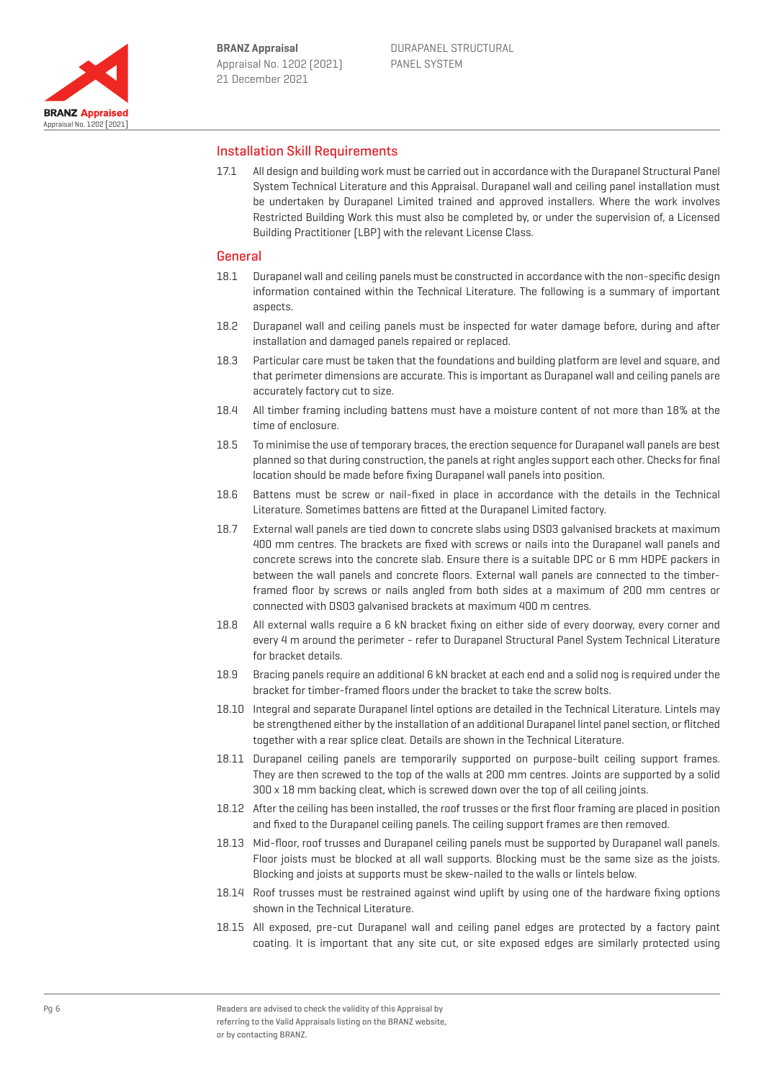

## Installation Skill Requirements

17.1 All design and building work must be carried out in accordance with the Durapanel Structural Panel System Technical Literature and this Appraisal. Durapanel wall and ceiling panel installation must be undertaken by Durapanel Limited trained and approved installers. Where the work involves Restricted Building Work this must also be completed by, or under the supervision of, a Licensed Building Practitioner (LBP) with the relevant License Class.

#### General

- 18.1 Durapanel wall and ceiling panels must be constructed in accordance with the non-specific design information contained within the Technical Literature. The following is a summary of important aspects
- 18.2 Durapanel wall and ceiling panels must be inspected for water damage before, during and after installation and damaged panels repaired or replaced.
- 18.3 Particular care must be taken that the foundations and building platform are level and square, and that perimeter dimensions are accurate. This is important as Durapanel wall and ceiling panels are accurately factory cut to size.
- 18.4 All timber framing including battens must have a moisture content of not more than 18% at the time of enclosure.
- 18.5 To minimise the use of temporary braces, the erection sequence for Durapanel wall panels are best planned so that during construction, the panels at right angles support each other. Checks for final location should be made before fixing Durapanel wall panels into position.
- 18.6 Battens must be screw or nail-fixed in place in accordance with the details in the Technical Literature. Sometimes battens are fitted at the Durapanel Limited factory.
- 18.7 External wall panels are tied down to concrete slabs using DS03 galvanised brackets at maximum 400 mm centres. The brackets are fixed with screws or nails into the Durapanel wall panels and concrete screws into the concrete slab. Ensure there is a suitable DPC or 6 mm HDPE packers in between the wall panels and concrete floors. External wall panels are connected to the timberframed floor by screws or nails angled from both sides at a maximum of 200 mm centres or connected with DS03 galvanised brackets at maximum 400 m centres.
- 18.8 All external walls require a 6 kN bracket fixing on either side of every doorway, every corner and every 4 m around the perimeter - refer to Durapanel Structural Panel System Technical Literature for bracket details.
- 18.9 Bracing panels require an additional 6 kN bracket at each end and a solid nog is required under the bracket for timber-framed floors under the bracket to take the screw bolts.
- 18.10 Integral and separate Durapanel lintel options are detailed in the Technical Literature. Lintels may be strengthened either by the installation of an additional Durapanel lintel panel section, or flitched together with a rear splice cleat. Details are shown in the Technical Literature.
- 18.11 Durapanel ceiling panels are temporarily supported on purpose-built ceiling support frames. They are then screwed to the top of the walls at 200 mm centres. Joints are supported by a solid 300 x 18 mm backing cleat, which is screwed down over the top of all ceiling joints.
- 18.12 After the ceiling has been installed, the roof trusses or the first floor framing are placed in position and fixed to the Durapanel ceiling panels. The ceiling support frames are then removed.
- 18.13 Mid-floor, roof trusses and Durapanel ceiling panels must be supported by Durapanel wall panels. Floor joists must be blocked at all wall supports. Blocking must be the same size as the joists. Blocking and joists at supports must be skew-nailed to the walls or lintels below.
- 18.14 Roof trusses must be restrained against wind uplift by using one of the hardware fixing options shown in the Technical Literature.
- 18.15 All exposed, pre-cut Durapanel wall and ceiling panel edges are protected by a factory paint coating. It is important that any site cut, or site exposed edges are similarly protected using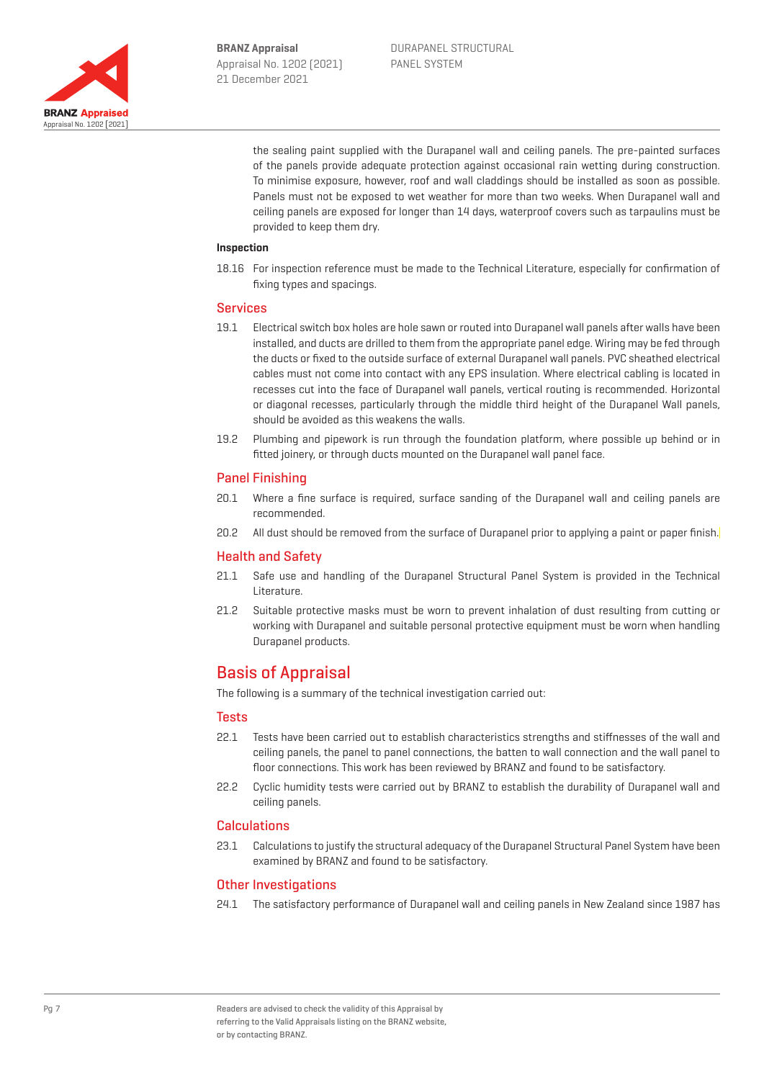

the sealing paint supplied with the Durapanel wall and ceiling panels. The pre-painted surfaces of the panels provide adequate protection against occasional rain wetting during construction. To minimise exposure, however, roof and wall claddings should be installed as soon as possible. Panels must not be exposed to wet weather for more than two weeks. When Durapanel wall and ceiling panels are exposed for longer than 14 days, waterproof covers such as tarpaulins must be provided to keep them dry.

### **Inspection**

18.16 For inspection reference must be made to the Technical Literature, especially for confirmation of fixing types and spacings.

#### Services

- 19.1 Electrical switch box holes are hole sawn or routed into Durapanel wall panels after walls have been installed, and ducts are drilled to them from the appropriate panel edge. Wiring may be fed through the ducts or fixed to the outside surface of external Durapanel wall panels. PVC sheathed electrical cables must not come into contact with any EPS insulation. Where electrical cabling is located in recesses cut into the face of Durapanel wall panels, vertical routing is recommended. Horizontal or diagonal recesses, particularly through the middle third height of the Durapanel Wall panels, should be avoided as this weakens the walls.
- 19.2 Plumbing and pipework is run through the foundation platform, where possible up behind or in fitted joinery, or through ducts mounted on the Durapanel wall panel face.

#### Panel Finishing

- 20.1 Where a fine surface is required, surface sanding of the Durapanel wall and ceiling panels are recommended.
- 20.2 All dust should be removed from the surface of Durapanel prior to applying a paint or paper finish.

#### Health and Safety

- 21.1 Safe use and handling of the Durapanel Structural Panel System is provided in the Technical Literature.
- 21.2 Suitable protective masks must be worn to prevent inhalation of dust resulting from cutting or working with Durapanel and suitable personal protective equipment must be worn when handling Durapanel products.

## Basis of Appraisal

The following is a summary of the technical investigation carried out:

### **Tests**

- 22.1 Tests have been carried out to establish characteristics strengths and stiffnesses of the wall and ceiling panels, the panel to panel connections, the batten to wall connection and the wall panel to floor connections. This work has been reviewed by BRANZ and found to be satisfactory.
- 22.2 Cyclic humidity tests were carried out by BRANZ to establish the durability of Durapanel wall and ceiling panels.

### **Calculations**

23.1 Calculations to justify the structural adequacy of the Durapanel Structural Panel System have been examined by BRANZ and found to be satisfactory.

#### Other Investigations

24.1 The satisfactory performance of Durapanel wall and ceiling panels in New Zealand since 1987 has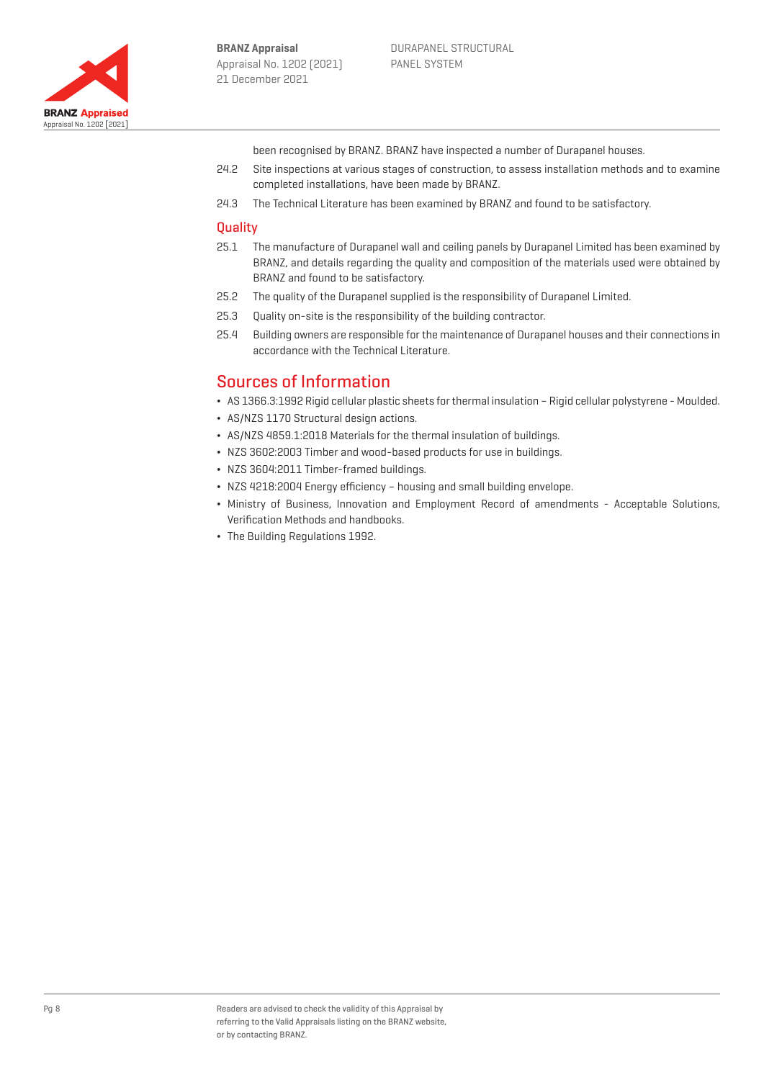

been recognised by BRANZ. BRANZ have inspected a number of Durapanel houses.

- 24.2 Site inspections at various stages of construction, to assess installation methods and to examine completed installations, have been made by BRANZ.
- 24.3 The Technical Literature has been examined by BRANZ and found to be satisfactory.

#### **Ouality**

- 25.1 The manufacture of Durapanel wall and ceiling panels by Durapanel Limited has been examined by BRANZ, and details regarding the quality and composition of the materials used were obtained by BRANZ and found to be satisfactory.
- 25.2 The quality of the Durapanel supplied is the responsibility of Durapanel Limited.
- 25.3 Quality on-site is the responsibility of the building contractor.
- 25.4 Building owners are responsible for the maintenance of Durapanel houses and their connections in accordance with the Technical Literature.

## Sources of Information

- ¬ AS 1366.3:1992 Rigid cellular plastic sheets for thermal insulation Rigid cellular polystyrene Moulded.
- ¬ AS/NZS 1170 Structural design actions.
- ¬ AS/NZS 4859.1:2018 Materials for the thermal insulation of buildings.
- ¬ NZS 3602:2003 Timber and wood-based products for use in buildings.
- ¬ NZS 3604:2011 Timber-framed buildings.
- ¬ NZS 4218:2004 Energy efficiency housing and small building envelope.
- ¬ Ministry of Business, Innovation and Employment Record of amendments Acceptable Solutions, Verification Methods and handbooks.
- ¬ The Building Regulations 1992.